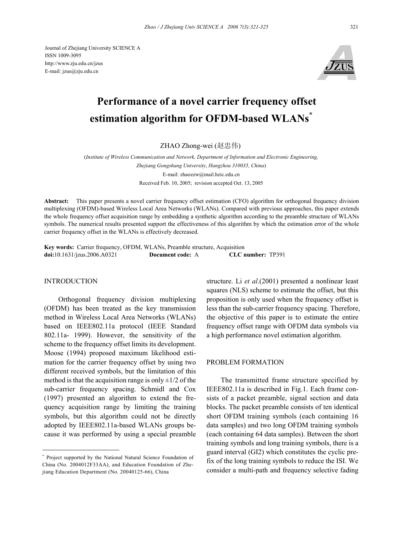Journal of Zhejiang University SCIENCE A ISSN 1009-3095 http://www.zju.edu.cn/jzus E-mail: jzus@zju.edu.cn



# **Performance of a novel carrier frequency offset estimation algorithm for OFDM-based WLANs\***

ZHAO Zhong-wei (赵忠伟)

(*Institute of Wireless Communication and Network, Department of Information and Electronic Engineering, Zhejiang Gongshang University*, *Hangzhou 310035, China*) E-mail: zhaozzw@mail.hzic.edu.cn Received Feb. 10, 2005; revision accepted Oct. 13, 2005

**Abstract:** This paper presents a novel carrier frequency offset estimation (CFO) algorithm for orthogonal frequency division multiplexing (OFDM)-based Wireless Local Area Networks (WLANs). Compared with previous approaches, this paper extends the whole frequency offset acquisition range by embedding a synthetic algorithm according to the preamble structure of WLANs symbols. The numerical results presented support the effectiveness of this algorithm by which the estimation error of the whole carrier frequency offset in the WLANs is effectively decreased.

**Key words:** Carrier frequency, OFDM, WLANs, Preamble structure, Acquisition **doi:**10.1631/jzus.2006.A0321 **Document code:** A **CLC number:** TP391

## INTRODUCTION

Orthogonal frequency division multiplexing (OFDM) has been treated as the key transmission method in Wireless Local Area Networks (WLANs) based on IEEE802.11a protocol (IEEE Standard 802.11a- 1999). However, the sensitivity of the scheme to the frequency offset limits its development. Moose (1994) proposed maximum likelihood estimation for the carrier frequency offset by using two different received symbols, but the limitation of this method is that the acquisition range is only  $\pm 1/2$  of the sub-carrier frequency spacing. Schmidl and Cox (1997) presented an algorithm to extend the frequency acquisition range by limiting the training symbols, but this algorithm could not be directly adopted by IEEE802.11a-based WLANs groups because it was performed by using a special preamble

structure. Li *et al*.(2001) presented a nonlinear least squares (NLS) scheme to estimate the offset, but this proposition is only used when the frequency offset is less than the sub-carrier frequency spacing. Therefore, the objective of this paper is to estimate the entire frequency offset range with OFDM data symbols via a high performance novel estimation algorithm.

#### PROBLEM FORMATION

The transmitted frame structure specified by IEEE802.11a is described in Fig.1. Each frame consists of a packet preamble, signal section and data blocks. The packet preamble consists of ten identical short OFDM training symbols (each containing 16 data samples) and two long OFDM training symbols (each containing 64 data samples). Between the short training symbols and long training symbols, there is a guard interval (GI2) which constitutes the cyclic prefix of the long training symbols to reduce the ISI. We consider a multi-path and frequency selective fading

<sup>\*</sup> Project supported by the National Natural Science Foundation of China (No. 2004012F33AA), and Education Foundation of Zhejiang Education Department (No. 20040125-66), China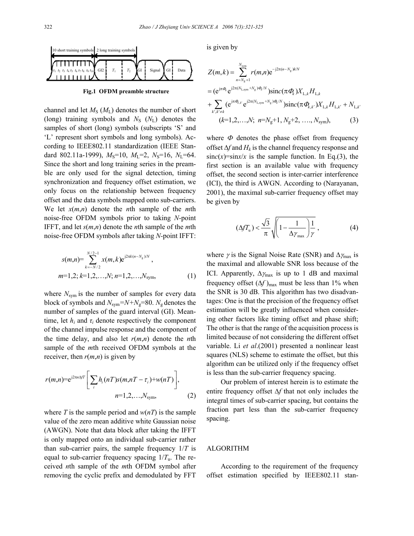

**Fig.1 OFDM preamble structure** 

channel and let  $M_S$  ( $M_L$ ) denotes the number of short (long) training symbols and  $N<sub>S</sub>$  ( $N<sub>L</sub>$ ) denotes the samples of short (long) symbols (subscripts 'S' and 'L' represent short symbols and long symbols). According to IEEE802.11 standardization (IEEE Standard 802.11a-1999),  $M_S=10$ ,  $M_I=2$ ,  $N_S=16$ ,  $N_I=64$ . Since the short and long training series in the preamble are only used for the signal detection, timing synchronization and frequency offset estimation, we only focus on the relationship between frequency offset and the data symbols mapped onto sub-carriers. We let *x*(*m*,*n*) denote the *n*th sample of the *m*th noise-free OFDM symbols prior to taking *N-*point IFFT, and let *s*(*m*,*n*) denote the *n*th sample of the *m*th noise-free OFDM symbols after taking *N-*point IFFT:

$$
s(m,n) = \sum_{k=-N/2}^{N/2-1} x(m,k) e^{j2\pi k(n-N_g)/N},
$$
  
m=1,2; k=1,2,...,N; n=1,2,...,N<sub>sym</sub>, (1)

where  $N_{sym}$  is the number of samples for every data block of symbols and *N*sym*=N+N*g=80. *N*g denotes the number of samples of the guard interval (GI). Meantime, let  $h_i$  and  $\tau_i$  denote respectively the component of the channel impulse response and the component of the time delay, and also let  $r(m,n)$  denote the *n*th sample of the *m*th received OFDM symbols at the receiver, then  $r(m,n)$  is given by

$$
r(m,n)=e^{j2\pi n\Delta f T}\Bigg[\sum_{i}h_i(nT)s(m,nT-\tau_i)+w(nT)\Bigg],
$$
  
\n
$$
n=1,2,\ldots,N_{\text{sym}},
$$
 (2)

where *T* is the sample period and  $w(nT)$  is the sample value of the zero mean additive white Gaussian noise (AWGN). Note that data block after taking the IFFT is only mapped onto an individual sub-carrier rather than sub-carrier pairs, the sample frequency 1/*T* is equal to sub-carrier frequency spacing  $1/T_u$ . The received *n*th sample of the *m*th OFDM symbol after removing the cyclic prefix and demodulated by FFT

is given by

$$
Z(m,k) = \sum_{n=N_g+1}^{N_{sym}} r(m,n) e^{-j2\pi(n-N_g)k/N}
$$
  
=  $(e^{j\pi\Phi_k} e^{j2\pi(N_{\text{L,sym}}+N_g)\Phi_k/N}) \operatorname{sinc}(\pi\Phi_k) X_{\text{L,}k} H_{\text{L,}k}$   
+  $\sum_{k',k'\neq k} (e^{j\pi\Phi_k k'} e^{j2\pi(N_{\text{L,sym}}+N_g)\Phi_k/N}) \operatorname{sinc}(\pi\Phi_{k,k'}) X_{\text{L,}k} H_{\text{L,}k'} + N_{\text{L,}k'}$   
(k=1,2,...,N;  $n=N_g+1, N_g+2, ..., N_{sym}$ ), (3)

where  $\Phi$  denotes the phase offset from frequency offset ∆*f* and *Hk* is the channel frequency response and  $sinc(x)=sin x/x$  is the sample function. In Eq.(3), the first section is an available value with frequency offset, the second section is inter-carrier interference (ICI), the third is AWGN. According to (Narayanan, 2001), the maximal sub-carrier frequency offset may be given by

$$
(\Delta f T_{\rm u}) < \frac{\sqrt{3}}{\pi} \sqrt{\left(1 - \frac{1}{\Delta \gamma_{\rm max}}\right) \frac{1}{\gamma}}\,,\tag{4}
$$

where  $\gamma$  is the Signal Noise Rate (SNR) and  $\Delta\gamma_{\text{max}}$  is the maximal and allowable SNR loss because of the ICI. Apparently,  $\Delta\gamma_{\text{max}}$  is up to 1 dB and maximal frequency offset  $(\Delta f)_{\text{max}}$  must be less than 1% when the SNR is 30 dB. This algorithm has two disadvantages: One is that the precision of the frequency offset estimation will be greatly influenced when considering other factors like timing offset and phase shift; The other is that the range of the acquisition process is limited because of not considering the different offset variable. Li *et al*.(2001) presented a nonlinear least squares (NLS) scheme to estimate the offset, but this algorithm can be utilized only if the frequency offset is less than the sub-carrier frequency spacing.

Our problem of interest herein is to estimate the entire frequency offset ∆*f* that not only includes the integral times of sub-carrier spacing, but contains the fraction part less than the sub-carrier frequency spacing.

## ALGORITHM

According to the requirement of the frequency offset estimation specified by IEEE802.11 stan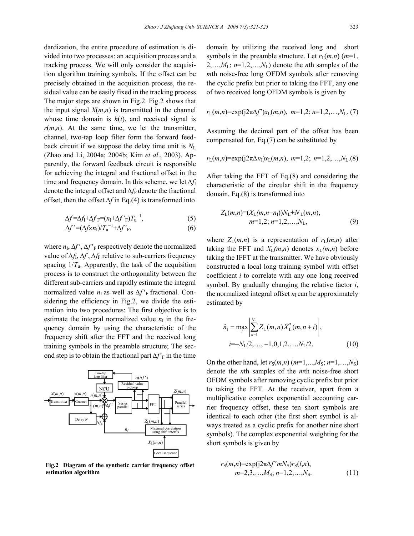dardization, the entire procedure of estimation is divided into two processes: an acquisition process and a tracking process. We will only consider the acquisition algorithm training symbols. If the offset can be precisely obtained in the acquisition process, the residual value can be easily fixed in the tracking process. The major steps are shown in Fig.2. Fig.2 shows that the input signal  $X(m,n)$  is transmitted in the channel whose time domain is  $h(t)$ , and received signal is  $r(m,n)$ . At the same time, we let the transmitter, channel, two-tap loop filter form the forward feedback circuit if we suppose the delay time unit is  $N_{\text{L}}$ (Zhao and Li, 2004a; 2004b; Kim *et al*., 2003). Apparently, the forward feedback circuit is responsible for achieving the integral and fractional offset in the time and frequency domain. In this scheme, we let  $\Delta f_1$ denote the integral offset and ∆*f*<sub>F</sub> denote the fractional offset, then the offset *∆f* in Eq.(4) is transformed into

$$
\Delta f = \Delta f_I + \Delta f_F = (n_I + \Delta f'_F) T_u^{-1},\tag{5}
$$

$$
\Delta f' = (\Delta f \times n_I) / T_u^{-1} + \Delta f'_{F},\tag{6}
$$

where  $n_{\rm I}$ ,  $\Delta f'$ ,  $\Delta f'$ <sub>F</sub> respectively denote the normalized value of  $Δf<sub>I</sub>, Δf, Δf<sub>F</sub>$  relative to sub-carriers frequency spacing  $1/T_u$ . Apparently, the task of the acquisition process is to construct the orthogonality between the different sub-carriers and rapidly estimate the integral normalized value  $n_1$  as well as  $\Delta f'$ <sub>F</sub> fractional. Considering the efficiency in Fig.2, we divide the estimation into two procedures: The first objective is to estimate the integral normalized value  $n<sub>I</sub>$  in the frequency domain by using the characteristic of the frequency shift after the FFT and the received long training symbols in the preamble structure; The second step is to obtain the fractional part  $\Delta f'_{\rm F}$  in the time



**Fig.2 Diagram of the synthetic carrier frequency offset estimation algorithm** 

domain by utilizing the received long and short symbols in the preamble structure. Let  $r_L(m,n)$  ( $m=1$ ,  $2, \ldots, M_L$ ;  $n=1, 2, \ldots, N_L$ ) denote the *n*th samples of the *m*th noise-free long OFDM symbols after removing the cyclic prefix but prior to taking the FFT, any one of two received long OFDM symbols is given by

$$
r_L(m,n) = \exp(j2\pi\Delta f')x_L(m,n), \; m=1,2, n=1,2,...,N_L.
$$
 (7)

Assuming the decimal part of the offset has been compensated for, Eq.(7) can be substituted by

$$
r_L(m,n) = \exp(j2\pi\Delta n_1)x_L(m,n), \; m=1,2, \; n=1,2,\ldots,N_L(8)
$$

After taking the FFT of Eq.(8) and considering the characteristic of the circular shift in the frequency domain, Eq.(8) is transformed into

$$
Z_{L}(m,n)=(X_{L}(m,n-n_{1}))N_{L}+N_{L}(m,n),m=1,2; n=1,2,...,N_{L},
$$
\n(9)

where  $Z_L(m,n)$  is a representation of  $r_L(m,n)$  after taking the FFT and  $X_L(m,n)$  denotes  $x_L(m,n)$  before taking the IFFT at the transmitter. We have obviously constructed a local long training symbol with offset coefficient *i* to correlate with any one long received symbol. By gradually changing the relative factor *i*, the normalized integral offset  $n_1$  can be approximately estimated by

$$
\hat{n}_1 = \max_i \left| \sum_{n=1}^{N_L} Z_L(m, n) X_L^*(m, n + i) \right|,
$$
  
\n
$$
i = -N_L/2, ..., -1, 0, 1, 2, ..., N_L/2.
$$
 (10)

On the other hand, let  $r_S(m,n)$  ( $m=1,...,M_S$ ;  $n=1,...,N_S$ ) denote the *n*th samples of the *m*th noise-free short OFDM symbols after removing cyclic prefix but prior to taking the FFT. At the receiver, apart from a multiplicative complex exponential accounting carrier frequency offset, these ten short symbols are identical to each other (the first short symbol is always treated as a cyclic prefix for another nine short symbols). The complex exponential weighting for the short symbols is given by

$$
r_S(m,n) = \exp(j2\pi\Delta f' m N_S) r_S(l,n),
$$
  
\n
$$
m = 2,3,...,M_S; n = 1,2,...,N_S.
$$
 (11)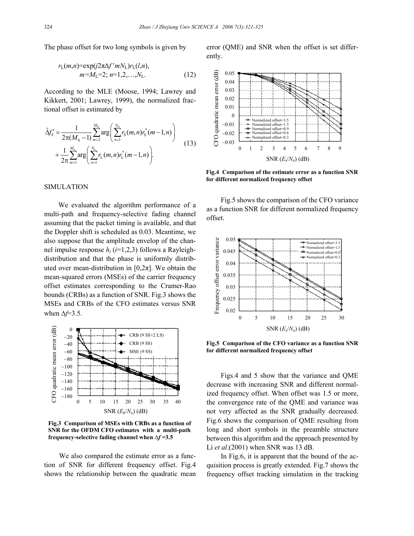The phase offset for two long symbols is given by

$$
r_{\rm L}(m,n) = \exp(j2\pi\Delta f' m N_{\rm L}) r_{\rm L}(l,n),
$$
  
\n
$$
m = M_{\rm L} = 2; \; n = 1, 2, \ldots, N_{\rm L}.
$$
 (12)

According to the MLE (Moose, 1994; Lawrey and Kikkert, 2001; Lawrey, 1999), the normalized fractional offset is estimated by

$$
\hat{\Delta}f'_{\mathrm{F}} = \frac{1}{2\pi(M_{\mathrm{S}}-1)} \sum_{m=2}^{M_{\mathrm{S}}} \arg \left( \sum_{n=1}^{N_{\mathrm{S}}} r_{\mathrm{S}}(m,n) r_{\mathrm{S}}^{*}(m-1,n) \right) + \frac{1}{2\pi} \sum_{m=1}^{M_{\mathrm{L}}} \arg \left( \sum_{n=1}^{N_{\mathrm{L}}} r_{\mathrm{L}}(m,n) r_{\mathrm{L}}^{*}(m-1,n) \right).
$$
\n(13)

## SIMULATION

We evaluated the algorithm performance of a multi-path and frequency-selective fading channel assuming that the packet timing is available, and that the Doppler shift is scheduled as 0.03. Meantime, we also suppose that the amplitude envelop of the channel impulse response *hi* (*i*=1,2,3) follows a Rayleighdistribution and that the phase is uniformly distributed over mean-distribution in  $[0,2\pi]$ . We obtain the mean-squared errors (MSEs) of the carrier frequency offset estimates corresponding to the Cramer-Rao bounds (CRBs) as a function of SNR. Fig.3 shows the MSEs and CRBs of the CFO estimates versus SNR when ∆*f*=3.5.



**Fig.3 Comparison of MSEs with CRBs as a function of SNR for the OFDM CFO estimates with a multi-path frequency-selective fading channel when** *∆f* **=3.5**

We also compared the estimate error as a function of SNR for different frequency offset. Fig.4 shows the relationship between the quadratic mean error (QME) and SNR when the offset is set differently.



**Fig.4 Comparison of the estimate error as a function SNR for different normalized frequency offset** 

Fig.5 shows the comparison of the CFO variance as a function SNR for different normalized frequency offset.



**Fig.5 Comparison of the CFO variance as a function SNR for different normalized frequency offset** 

Figs.4 and 5 show that the variance and QME decrease with increasing SNR and different normalized frequency offset. When offset was 1.5 or more, the convergence rate of the QME and variance was not very affected as the SNR gradually decreased. Fig.6 shows the comparison of QME resulting from long and short symbols in the preamble structure between this algorithm and the approach presented by Li *et al*.(2001) when SNR was 13 dB.

In Fig.6, it is apparent that the bound of the acquisition process is greatly extended. Fig.7 shows the frequency offset tracking simulation in the tracking